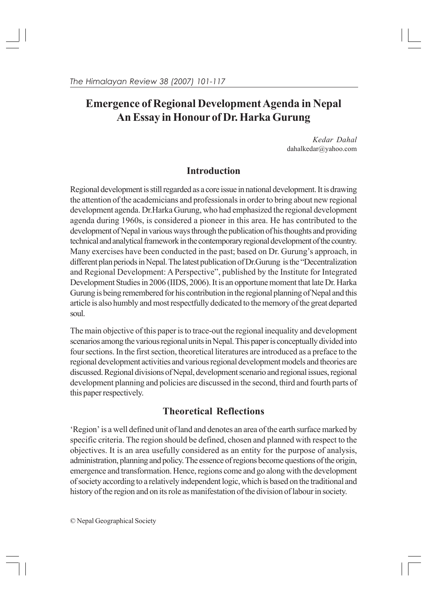# **Emergence of Regional Development Agenda in Nepal An Essay in Honour of Dr. Harka Gurung**

*Kedar Dahal* dahalkedar@yahoo.com

## **Introduction**

Regional development is still regarded as a core issue in national development. It is drawing the attention of the academicians and professionals in order to bring about new regional development agenda. Dr.Harka Gurung, who had emphasized the regional development agenda during 1960s, is considered a pioneer in this area. He has contributed to the development of Nepal in various ways through the publication of his thoughts and providing technical and analytical framework in the contemporary regional development of the country. Many exercises have been conducted in the past; based on Dr. Gurung's approach, in different plan periods in Nepal. The latest publication of Dr.Gurung is the "Decentralization and Regional Development: A Perspective", published by the Institute for Integrated Development Studies in 2006 (IIDS, 2006). It is an opportune moment that late Dr. Harka Gurung is being remembered for his contribution in the regional planning of Nepal and this article is also humbly and most respectfully dedicated to the memory of the great departed soul.

The main objective of this paper is to trace-out the regional inequality and development scenarios among the various regional units in Nepal. This paper is conceptually divided into four sections. In the first section, theoretical literatures are introduced as a preface to the regional development activities and various regional development models and theories are discussed. Regional divisions of Nepal, development scenario and regional issues, regional development planning and policies are discussed in the second, third and fourth parts of this paper respectively.

## **Theoretical Reflections**

'Region' is a well defined unit of land and denotes an area of the earth surface marked by specific criteria. The region should be defined, chosen and planned with respect to the objectives. It is an area usefully considered as an entity for the purpose of analysis, administration, planning and policy. The essence of regions become questions of the origin, emergence and transformation. Hence, regions come and go along with the development of society according to a relatively independent logic, which is based on the traditional and history of the region and on its role as manifestation of the division of labour in society.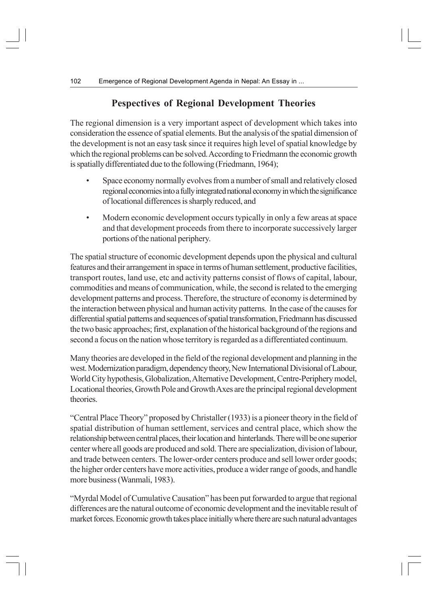## **Pespectives of Regional Development Theories**

The regional dimension is a very important aspect of development which takes into consideration the essence of spatial elements. But the analysis of the spatial dimension of the development is not an easy task since it requires high level of spatial knowledge by which the regional problems can be solved. According to Friedmann the economic growth is spatially differentiated due to the following (Friedmann, 1964);

- Space economy normally evolves from a number of small and relatively closed regional economies into a fully integrated national economy in which the significance of locational differences is sharply reduced, and
- Modern economic development occurs typically in only a few areas at space and that development proceeds from there to incorporate successively larger portions of the national periphery.

The spatial structure of economic development depends upon the physical and cultural features and their arrangement in space in terms of human settlement, productive facilities, transport routes, land use, etc and activity patterns consist of flows of capital, labour, commodities and means of communication, while, the second is related to the emerging development patterns and process. Therefore, the structure of economy is determined by the interaction between physical and human activity patterns. In the case of the causes for differential spatial patterns and sequences of spatial transformation, Friedmann has discussed the two basic approaches; first, explanation of the historical background of the regions and second a focus on the nation whose territory is regarded as a differentiated continuum.

Many theories are developed in the field of the regional development and planning in the west. Modernization paradigm, dependency theory, New International Divisional of Labour, World City hypothesis, Globalization, Alternative Development, Centre-Periphery model, Locational theories, Growth Pole and Growth Axes are the principal regional development theories.

"Central Place Theory" proposed by Christaller (1933) is a pioneer theory in the field of spatial distribution of human settlement, services and central place, which show the relationship between central places, their location and hinterlands. There will be one superior center where all goods are produced and sold. There are specialization, division of labour, and trade between centers. The lower-order centers produce and sell lower order goods; the higher order centers have more activities, produce a wider range of goods, and handle more business (Wanmali, 1983).

"Myrdal Model of Cumulative Causation" has been put forwarded to argue that regional differences are the natural outcome of economic development and the inevitable result of market forces. Economic growth takes place initially where there are such natural advantages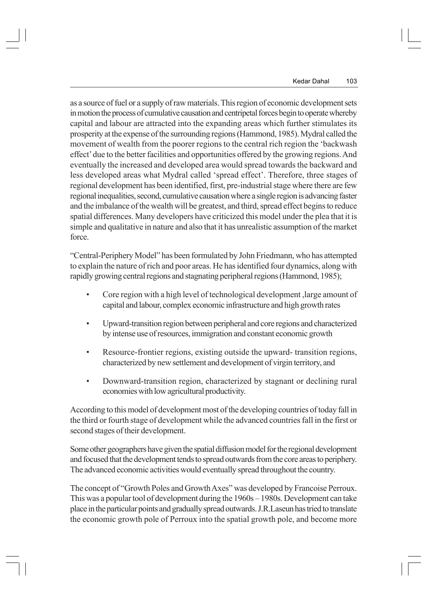as a source of fuel or a supply of raw materials. This region of economic development sets in motion the process of cumulative causation and centripetal forces begin to operate whereby capital and labour are attracted into the expanding areas which further stimulates its prosperity at the expense of the surrounding regions (Hammond, 1985). Mydral called the movement of wealth from the poorer regions to the central rich region the 'backwash effect' due to the better facilities and opportunities offered by the growing regions. And eventually the increased and developed area would spread towards the backward and less developed areas what Mydral called 'spread effect'. Therefore, three stages of regional development has been identified, first, pre-industrial stage where there are few regional inequalities, second, cumulative causation where a single region is advancing faster and the imbalance of the wealth will be greatest, and third, spread effect begins to reduce spatial differences. Many developers have criticized this model under the plea that it is simple and qualitative in nature and also that it has unrealistic assumption of the market force.

"Central-Periphery Model" has been formulated by John Friedmann, who has attempted to explain the nature of rich and poor areas. He has identified four dynamics, along with rapidly growing central regions and stagnating peripheral regions (Hammond, 1985);

- Core region with a high level of technological development ,large amount of capital and labour, complex economic infrastructure and high growth rates
- Upward-transition region between peripheral and core regions and characterized by intense use of resources, immigration and constant economic growth
- Resource-frontier regions, existing outside the upward- transition regions, characterized by new settlement and development of virgin territory, and
- Downward-transition region, characterized by stagnant or declining rural economies with low agricultural productivity.

According to this model of development most of the developing countries of today fall in the third or fourth stage of development while the advanced countries fall in the first or second stages of their development.

Some other geographers have given the spatial diffusion model for the regional development and focused that the development tends to spread outwards from the core areas to periphery. The advanced economic activities would eventually spread throughout the country.

The concept of "Growth Poles and Growth Axes" was developed by Francoise Perroux. This was a popular tool of development during the 1960s – 1980s. Development can take place in the particular points and gradually spread outwards. J.R.Laseun has tried to translate the economic growth pole of Perroux into the spatial growth pole, and become more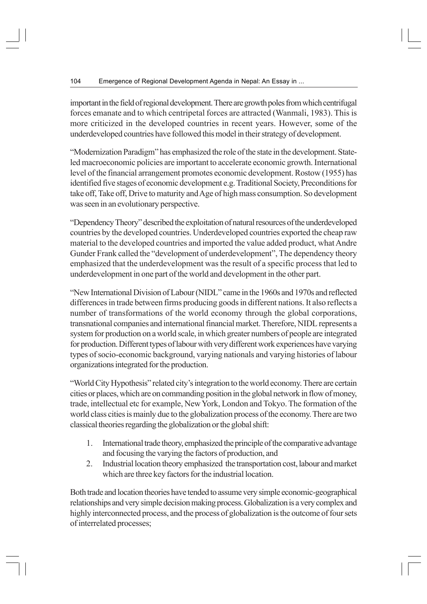important in the field of regional development. There are growth poles from which centrifugal forces emanate and to which centripetal forces are attracted (Wanmali, 1983). This is more criticized in the developed countries in recent years. However, some of the underdeveloped countries have followed this model in their strategy of development.

"Modernization Paradigm" has emphasized the role of the state in the development. Stateled macroeconomic policies are important to accelerate economic growth. International level of the financial arrangement promotes economic development. Rostow (1955) has identified five stages of economic development e.g. Traditional Society, Preconditions for take off, Take off, Drive to maturity and Age of high mass consumption. So development was seen in an evolutionary perspective.

"Dependency Theory" described the exploitation of natural resources of the underdeveloped countries by the developed countries. Underdeveloped countries exported the cheap raw material to the developed countries and imported the value added product, what Andre Gunder Frank called the "development of underdevelopment", The dependency theory emphasized that the underdevelopment was the result of a specific process that led to underdevelopment in one part of the world and development in the other part.

"New International Division of Labour (NIDL" came in the 1960s and 1970s and reflected differences in trade between firms producing goods in different nations. It also reflects a number of transformations of the world economy through the global corporations, transnational companies and international financial market. Therefore, NIDL represents a system for production on a world scale, in which greater numbers of people are integrated for production. Different types of labour with very different work experiences have varying types of socio-economic background, varying nationals and varying histories of labour organizations integrated for the production.

"World City Hypothesis" related city's integration to the world economy. There are certain cities or places, which are on commanding position in the global network in flow of money, trade, intellectual etc for example, New York, London and Tokyo. The formation of the world class cities is mainly due to the globalization process of the economy. There are two classical theories regarding the globalization or the global shift:

- 1. International trade theory, emphasized the principle of the comparative advantage and focusing the varying the factors of production, and
- 2. Industrial location theory emphasized the transportation cost, labour and market which are three key factors for the industrial location.

Both trade and location theories have tended to assume very simple economic-geographical relationships and very simple decision making process. Globalization is a very complex and highly interconnected process, and the process of globalization is the outcome of four sets of interrelated processes;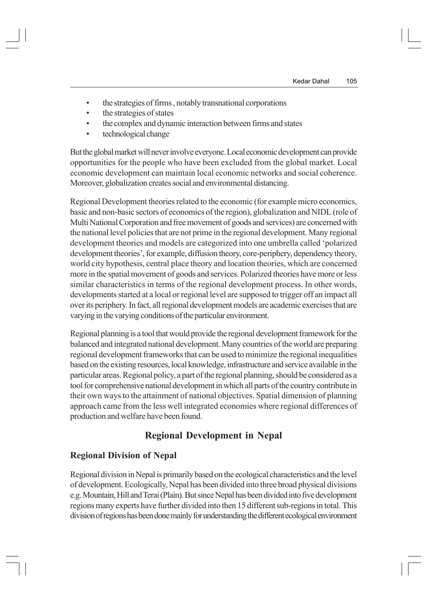- the strategies of firms , notably transnational corporations
- the strategies of states
- the complex and dynamic interaction between firms and states
- technological change

But the global market will never involve everyone. Local economic development can provide opportunities for the people who have been excluded from the global market. Local economic development can maintain local economic networks and social coherence. Moreover, globalization creates social and environmental distancing.

Regional Development theories related to the economic (for example micro economics, basic and non-basic sectors of economics of the region), globalization and NIDL (role of Multi National Corporation and free movement of goods and services) are concerned with the national level policies that are not prime in the regional development. Many regional development theories and models are categorized into one umbrella called 'polarized development theories', for example, diffusion theory, core-periphery, dependency theory, world city hypothesis, central place theory and location theories, which are concerned more in the spatial movement of goods and services. Polarized theories have more or less similar characteristics in terms of the regional development process. In other words, developments started at a local or regional level are supposed to trigger off an impact all over its periphery. In fact, all regional development models are academic exercises that are varying in the varying conditions of the particular environment.

Regional planning is a tool that would provide the regional development framework for the balanced and integrated national development. Many countries of the world are preparing regional development frameworks that can be used to minimize the regional inequalities based on the existing resources, local knowledge, infrastructure and service available in the particular areas. Regional policy, a part of the regional planning, should be considered as a tool for comprehensive national development in which all parts of the country contribute in their own ways to the attainment of national objectives. Spatial dimension of planning approach came from the less well integrated economies where regional differences of production and welfare have been found.

## **Regional Development in Nepal**

## **Regional Division of Nepal**

Regional division in Nepal is primarily based on the ecological characteristics and the level of development. Ecologically, Nepal has been divided into three broad physical divisions e.g. Mountain, Hill and Terai (Plain). But since Nepal has been divided into five development regions many experts have further divided into then 15 different sub-regions in total. This division of regions has been done mainly for understanding the different ecological environment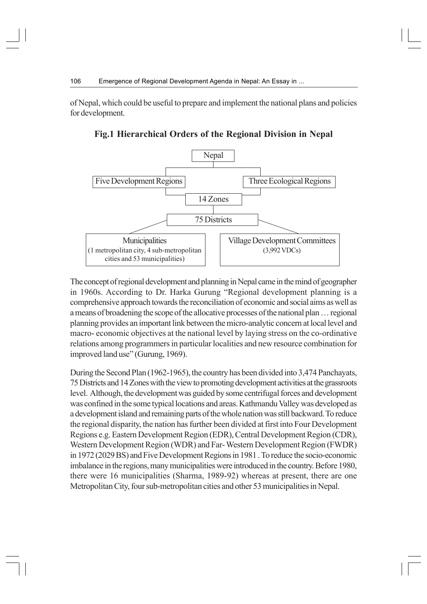of Nepal, which could be useful to prepare and implement the national plans and policies for development.



**Fig.1 Hierarchical Orders of the Regional Division in Nepal**

The concept of regional development and planning in Nepal came in the mind of geographer in 1960s. According to Dr. Harka Gurung "Regional development planning is a comprehensive approach towards the reconciliation of economic and social aims as well as a means of broadening the scope of the allocative processes of the national plan … regional planning provides an important link between the micro-analytic concern at local level and macro- economic objectives at the national level by laying stress on the co-ordinative relations among programmers in particular localities and new resource combination for improved land use" (Gurung, 1969).

During the Second Plan (1962-1965), the country has been divided into 3,474 Panchayats, 75 Districts and 14 Zones with the view to promoting development activities at the grassroots level. Although, the development was guided by some centrifugal forces and development was confined in the some typical locations and areas. Kathmandu Valley was developed as a development island and remaining parts of the whole nation was still backward. To reduce the regional disparity, the nation has further been divided at first into Four Development Regions e.g. Eastern Development Region (EDR), Central Development Region (CDR), Western Development Region (WDR) and Far- Western Development Region (FWDR) in 1972 (2029 BS) and Five Development Regions in 1981 . To reduce the socio-economic imbalance in the regions, many municipalities were introduced in the country. Before 1980, there were 16 municipalities (Sharma, 1989-92) whereas at present, there are one Metropolitan City, four sub-metropolitan cities and other 53 municipalities in Nepal.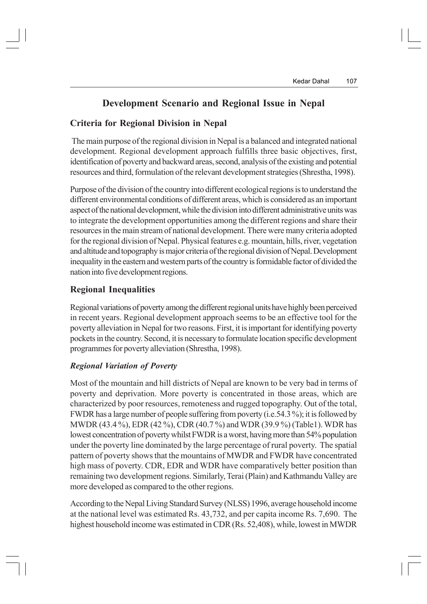## **Development Scenario and Regional Issue in Nepal**

#### **Criteria for Regional Division in Nepal**

 The main purpose of the regional division in Nepal is a balanced and integrated national development. Regional development approach fulfills three basic objectives, first, identification of poverty and backward areas, second, analysis of the existing and potential resources and third, formulation of the relevant development strategies (Shrestha, 1998).

Purpose of the division of the country into different ecological regions is to understand the different environmental conditions of different areas, which is considered as an important aspect of the national development, while the division into different administrative units was to integrate the development opportunities among the different regions and share their resources in the main stream of national development. There were many criteria adopted for the regional division of Nepal. Physical features e.g. mountain, hills, river, vegetation and altitude and topography is major criteria of the regional division of Nepal. Development inequality in the eastern and western parts of the country is formidable factor of divided the nation into five development regions.

#### **Regional Inequalities**

Regional variations of poverty among the different regional units have highly been perceived in recent years. Regional development approach seems to be an effective tool for the poverty alleviation in Nepal for two reasons. First, it is important for identifying poverty pockets in the country. Second, it is necessary to formulate location specific development programmes for poverty alleviation (Shrestha, 1998).

#### *Regional Variation of Poverty*

Most of the mountain and hill districts of Nepal are known to be very bad in terms of poverty and deprivation. More poverty is concentrated in those areas, which are characterized by poor resources, remoteness and rugged topography. Out of the total, FWDR has a large number of people suffering from poverty (i.e.54.3 %); it is followed by MWDR (43.4 %), EDR (42 %), CDR (40.7 %) and WDR (39.9 %) (Table1). WDR has lowest concentration of poverty whilst FWDR is a worst, having more than 54% population under the poverty line dominated by the large percentage of rural poverty. The spatial pattern of poverty shows that the mountains of MWDR and FWDR have concentrated high mass of poverty. CDR, EDR and WDR have comparatively better position than remaining two development regions. Similarly, Terai (Plain) and Kathmandu Valley are more developed as compared to the other regions.

According to the Nepal Living Standard Survey (NLSS) 1996, average household income at the national level was estimated Rs. 43,732, and per capita income Rs. 7,690. The highest household income was estimated in CDR (Rs. 52,408), while, lowest in MWDR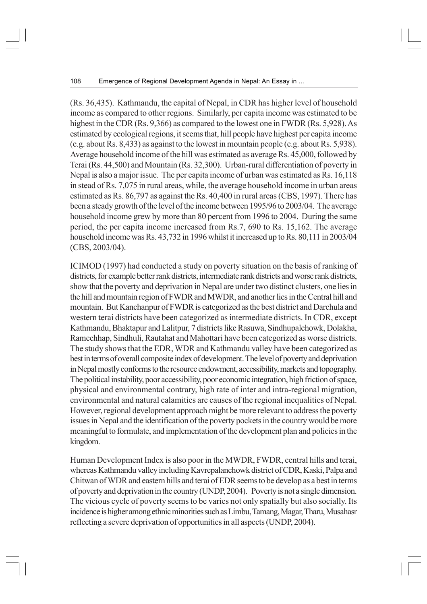(Rs. 36,435). Kathmandu, the capital of Nepal, in CDR has higher level of household income as compared to other regions. Similarly, per capita income was estimated to be highest in the CDR (Rs. 9,366) as compared to the lowest one in FWDR (Rs. 5,928). As estimated by ecological regions, it seems that, hill people have highest per capita income (e.g. about Rs. 8,433) as against to the lowest in mountain people (e.g. about Rs. 5,938). Average household income of the hill was estimated as average Rs. 45,000, followed by Terai (Rs. 44,500) and Mountain (Rs. 32,300). Urban-rural differentiation of poverty in Nepal is also a major issue. The per capita income of urban was estimated as Rs. 16,118 in stead of Rs. 7,075 in rural areas, while, the average household income in urban areas estimated as Rs. 86,797 as against the Rs. 40,400 in rural areas (CBS, 1997). There has been a steady growth of the level of the income between 1995/96 to 2003/04. The average household income grew by more than 80 percent from 1996 to 2004. During the same period, the per capita income increased from Rs.7, 690 to Rs. 15,162. The average household income was Rs. 43,732 in 1996 whilst it increased up to Rs. 80,111 in 2003/04 (CBS, 2003/04).

ICIMOD (1997) had conducted a study on poverty situation on the basis of ranking of districts, for example better rank districts, intermediate rank districts and worse rank districts, show that the poverty and deprivation in Nepal are under two distinct clusters, one lies in the hill and mountain region of FWDR and MWDR, and another lies in the Central hill and mountain. But Kanchanpur of FWDR is categorized as the best district and Darchula and western terai districts have been categorized as intermediate districts. In CDR, except Kathmandu, Bhaktapur and Lalitpur, 7 districts like Rasuwa, Sindhupalchowk, Dolakha, Ramechhap, Sindhuli, Rautahat and Mahottari have been categorized as worse districts. The study shows that the EDR, WDR and Kathmandu valley have been categorized as best in terms of overall composite index of development. The level of poverty and deprivation in Nepal mostly conforms to the resource endowment, accessibility, markets and topography. The political instability, poor accessibility, poor economic integration, high friction of space, physical and environmental contrary, high rate of inter and intra-regional migration, environmental and natural calamities are causes of the regional inequalities of Nepal. However, regional development approach might be more relevant to address the poverty issues in Nepal and the identification of the poverty pockets in the country would be more meaningful to formulate, and implementation of the development plan and policies in the kingdom.

Human Development Index is also poor in the MWDR, FWDR, central hills and terai, whereas Kathmandu valley including Kavrepalanchowk district of CDR, Kaski, Palpa and Chitwan of WDR and eastern hills and terai of EDR seems to be develop as a best in terms of poverty and deprivation in the country (UNDP, 2004). Poverty is not a single dimension. The vicious cycle of poverty seems to be varies not only spatially but also socially. Its incidence is higher among ethnic minorities such as Limbu, Tamang, Magar, Tharu, Musahasr reflecting a severe deprivation of opportunities in all aspects (UNDP, 2004).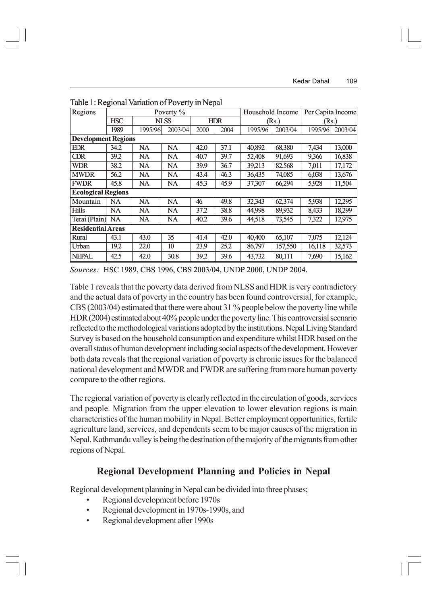| Regions                    | Poverty %  |             |           |            |      | Household Income |         | Per Capita Income |         |  |  |
|----------------------------|------------|-------------|-----------|------------|------|------------------|---------|-------------------|---------|--|--|
|                            | <b>HSC</b> | <b>NLSS</b> |           | <b>HDR</b> |      | (Rs.)            |         | (Rs.)             |         |  |  |
|                            | 1989       | 1995/96     | 2003/04   | 2000       | 2004 | 1995/96          | 2003/04 | 1995/96           | 2003/04 |  |  |
| <b>Development Regions</b> |            |             |           |            |      |                  |         |                   |         |  |  |
| <b>EDR</b>                 | 34.2       | NA          | <b>NA</b> | 42.0       | 37.1 | 40,892           | 68,380  | 7,434             | 13,000  |  |  |
| <b>CDR</b>                 | 39.2       | NA          | <b>NA</b> | 40.7       | 39.7 | 52,408           | 91,693  | 9,366             | 16,838  |  |  |
| <b>WDR</b>                 | 38.2       | NA          | <b>NA</b> | 39.9       | 36.7 | 39,213           | 82,568  | 7,011             | 17,172  |  |  |
| <b>MWDR</b>                | 56.2       | NA          | <b>NA</b> | 43.4       | 46.3 | 36,435           | 74,085  | 6,038             | 13,676  |  |  |
| <b>FWDR</b>                | 45.8       | <b>NA</b>   | <b>NA</b> | 45.3       | 45.9 | 37,307           | 66,294  | 5,928             | 11,504  |  |  |
| <b>Ecological Regions</b>  |            |             |           |            |      |                  |         |                   |         |  |  |
| Mountain                   | NA         | NA          | <b>NA</b> | 46         | 49.8 | 32,343           | 62,374  | 5,938             | 12,295  |  |  |
| <b>Hills</b>               | NA         | NA          | <b>NA</b> | 37.2       | 38.8 | 44,998           | 89,932  | 8,433             | 18,299  |  |  |
| Terai (Plain)              | NA         | NA          | NA        | 40.2       | 39.6 | 44,518           | 73,545  | 7,322             | 12,975  |  |  |
| <b>Residential Areas</b>   |            |             |           |            |      |                  |         |                   |         |  |  |
| Rural                      | 43.1       | 43.0        | 35        | 41.4       | 42.0 | 40,400           | 65,107  | 7,075             | 12,124  |  |  |
| Urban                      | 19.2       | 22.0        | 10        | 23.9       | 25.2 | 86,797           | 157,550 | 16,118            | 32,573  |  |  |
| NEPAL                      | 42.5       | 42.0        | 30.8      | 39.2       | 39.6 | 43,732           | 80,111  | 7,690             | 15,162  |  |  |

Table 1: Regional Variation of Poverty in Nepal

*Sources:* HSC 1989, CBS 1996, CBS 2003/04, UNDP 2000, UNDP 2004.

Table 1 reveals that the poverty data derived from NLSS and HDR is very contradictory and the actual data of poverty in the country has been found controversial, for example, CBS (2003/04) estimated that there were about 31 % people below the poverty line while HDR (2004) estimated about 40% people under the poverty line. This controversial scenario reflected to the methodological variations adopted by the institutions. Nepal Living Standard Survey is based on the household consumption and expenditure whilst HDR based on the overall status of human development including social aspects of the development. However both data reveals that the regional variation of poverty is chronic issues for the balanced national development and MWDR and FWDR are suffering from more human poverty compare to the other regions.

The regional variation of poverty is clearly reflected in the circulation of goods, services and people. Migration from the upper elevation to lower elevation regions is main characteristics of the human mobility in Nepal. Better employment opportunities, fertile agriculture land, services, and dependents seem to be major causes of the migration in Nepal. Kathmandu valley is being the destination of the majority of the migrants from other regions of Nepal.

#### **Regional Development Planning and Policies in Nepal**

Regional development planning in Nepal can be divided into three phases;

- Regional development before 1970s
- Regional development in 1970s-1990s, and
- Regional development after 1990s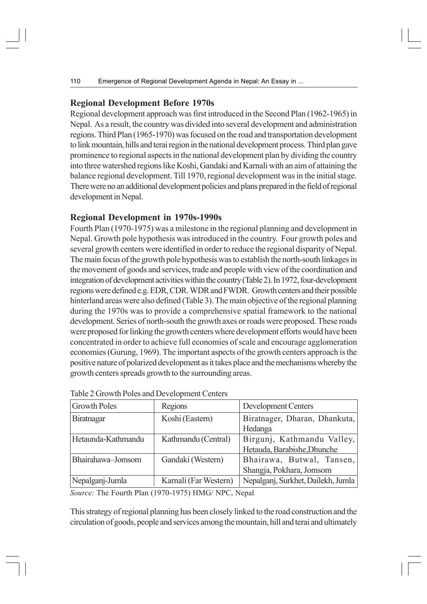#### **Regional Development Before 1970s**

Regional development approach was first introduced in the Second Plan (1962-1965) in Nepal. As a result, the country was divided into several development and administration regions. Third Plan (1965-1970) was focused on the road and transportation development to link mountain, hills and terai region in the national development process. Third plan gave prominence to regional aspects in the national development plan by dividing the country into three watershed regions like Koshi, Gandaki and Karnali with an aim of attaining the balance regional development. Till 1970, regional development was in the initial stage. There were no an additional development policies and plans prepared in the field of regional development in Nepal.

#### **Regional Development in 1970s-1990s**

Fourth Plan (1970-1975) was a milestone in the regional planning and development in Nepal. Growth pole hypothesis was introduced in the country. Four growth poles and several growth centers were identified in order to reduce the regional disparity of Nepal. The main focus of the growth pole hypothesis was to establish the north-south linkages in the movement of goods and services, trade and people with view of the coordination and integration of development activities within the country (Table 2). In 1972, four-development regions were defined e.g. EDR, CDR. WDR and FWDR. Growth centers and their possible hinterland areas were also defined (Table 3). The main objective of the regional planning during the 1970s was to provide a comprehensive spatial framework to the national development. Series of north-south the growth axes or roads were proposed. These roads were proposed for linking the growth centers where development efforts would have been concentrated in order to achieve full economies of scale and encourage agglomeration economies (Gurung, 1969). The important aspects of the growth centers approach is the positive nature of polarized development as it takes place and the mechanisms whereby the growth centers spreads growth to the surrounding areas.

| <b>Growth Poles</b> | Regions               | Development Centers                                       |
|---------------------|-----------------------|-----------------------------------------------------------|
| Biratnagar          | Koshi (Eastern)       | Biratnager, Dharan, Dhankuta,<br>Hedanga                  |
| Hetaunda-Kathmandu  | Kathmandu (Central)   | Birgunj, Kathmandu Valley,<br>Hetauda, Barabishe, Dhunche |
| Bhairahawa-Jomsom   | Gandaki (Western)     | Bhairawa, Butwal, Tansen,<br>Shangja, Pokhara, Jomsom     |
| Nepalganj-Jumla     | Karnali (Far Western) | Nepalganj, Surkhet, Dailekh, Jumla                        |

Table 2 Growth Poles and Development Centers

*Source:* The Fourth Plan (1970-1975) HMG/ NPC, Nepal

This strategy of regional planning has been closely linked to the road construction and the circulation of goods, people and services among the mountain, hill and terai and ultimately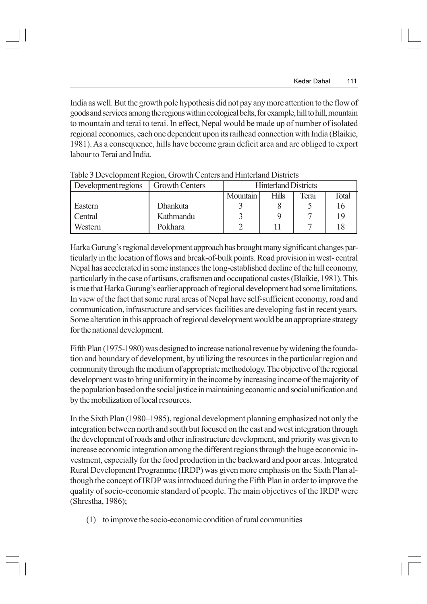India as well. But the growth pole hypothesis did not pay any more attention to the flow of goods and services among the regions within ecological belts, for example, hill to hill, mountain to mountain and terai to terai. In effect, Nepal would be made up of number of isolated regional economies, each one dependent upon its railhead connection with India (Blaikie, 1981). As a consequence, hills have become grain deficit area and are obliged to export labour to Terai and India.

| THE POSTUPING IN AUTHOR OF THE CONTROL THROUGH DISTINGS |                 |          |                             |       |       |  |  |  |
|---------------------------------------------------------|-----------------|----------|-----------------------------|-------|-------|--|--|--|
| Development regions                                     | Growth Centers  |          | <b>Hinterland Districts</b> |       |       |  |  |  |
|                                                         |                 | Mountain | <b>Hills</b>                | ferai | Total |  |  |  |
| Eastern                                                 | <b>Dhankuta</b> |          |                             |       |       |  |  |  |
| Central                                                 | Kathmandu       |          |                             |       | 1 C   |  |  |  |
| Western                                                 | Pokhara         |          |                             |       |       |  |  |  |

Table 3 Development Region, Growth Centers and Hinterland Districts

Harka Gurung's regional development approach has brought many significant changes particularly in the location of flows and break-of-bulk points. Road provision in west- central Nepal has accelerated in some instances the long-established decline of the hill economy, particularly in the case of artisans, craftsmen and occupational castes (Blaikie, 1981). This is true that Harka Gurung's earlier approach of regional development had some limitations. In view of the fact that some rural areas of Nepal have self-sufficient economy, road and communication, infrastructure and services facilities are developing fast in recent years. Some alteration in this approach of regional development would be an appropriate strategy for the national development.

Fifth Plan (1975-1980) was designed to increase national revenue by widening the foundation and boundary of development, by utilizing the resources in the particular region and community through the medium of appropriate methodology. The objective of the regional development was to bring uniformity in the income by increasing income of the majority of the population based on the social justice in maintaining economic and social unification and by the mobilization of local resources.

In the Sixth Plan (1980–1985), regional development planning emphasized not only the integration between north and south but focused on the east and west integration through the development of roads and other infrastructure development, and priority was given to increase economic integration among the different regions through the huge economic investment, especially for the food production in the backward and poor areas. Integrated Rural Development Programme (IRDP) was given more emphasis on the Sixth Plan although the concept of IRDP was introduced during the Fifth Plan in order to improve the quality of socio-economic standard of people. The main objectives of the IRDP were (Shrestha, 1986);

(1) to improve the socio-economic condition of rural communities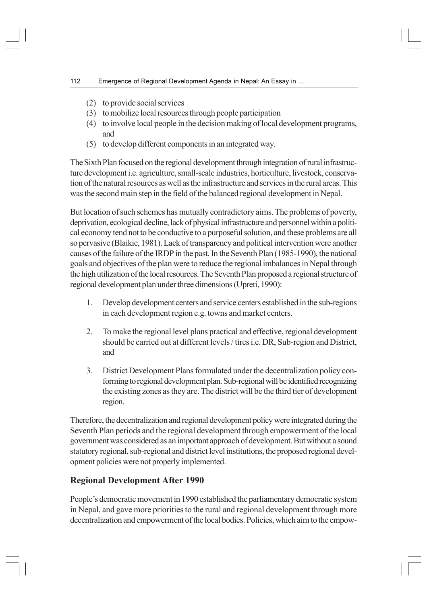- (2) to provide social services
- (3) to mobilize local resources through people participation
- (4) to involve local people in the decision making of local development programs, and
- (5) to develop different components in an integrated way.

The Sixth Plan focused on the regional development through integration of rural infrastructure development i.e. agriculture, small-scale industries, horticulture, livestock, conservation of the natural resources as well as the infrastructure and services in the rural areas. This was the second main step in the field of the balanced regional development in Nepal.

But location of such schemes has mutually contradictory aims. The problems of poverty, deprivation, ecological decline, lack of physical infrastructure and personnel within a political economy tend not to be conductive to a purposeful solution, and these problems are all so pervasive (Blaikie, 1981). Lack of transparency and political intervention were another causes of the failure of the IRDP in the past. In the Seventh Plan (1985-1990), the national goals and objectives of the plan were to reduce the regional imbalances in Nepal through the high utilization of the local resources. The Seventh Plan proposed a regional structure of regional development plan under three dimensions (Upreti, 1990):

- 1. Develop development centers and service centers established in the sub-regions in each development region e.g. towns and market centers.
- 2. To make the regional level plans practical and effective, regional development should be carried out at different levels / tires i.e. DR, Sub-region and District, and
- 3. District Development Plans formulated under the decentralization policy conforming to regional development plan. Sub-regional will be identified recognizing the existing zones as they are. The district will be the third tier of development region.

Therefore, the decentralization and regional development policy were integrated during the Seventh Plan periods and the regional development through empowerment of the local government was considered as an important approach of development. But without a sound statutory regional, sub-regional and district level institutions, the proposed regional development policies were not properly implemented.

## **Regional Development After 1990**

People's democratic movement in 1990 established the parliamentary democratic system in Nepal, and gave more priorities to the rural and regional development through more decentralization and empowerment of the local bodies. Policies, which aim to the empow-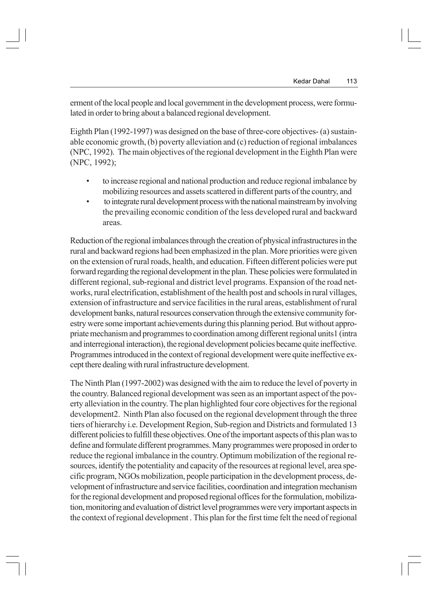erment of the local people and local government in the development process, were formulated in order to bring about a balanced regional development.

Eighth Plan (1992-1997) was designed on the base of three-core objectives- (a) sustainable economic growth, (b) poverty alleviation and (c) reduction of regional imbalances (NPC, 1992). The main objectives of the regional development in the Eighth Plan were (NPC, 1992);

- to increase regional and national production and reduce regional imbalance by mobilizing resources and assets scattered in different parts of the country, and
- to integrate rural development process with the national mainstream by involving the prevailing economic condition of the less developed rural and backward areas.

Reduction of the regional imbalances through the creation of physical infrastructures in the rural and backward regions had been emphasized in the plan. More priorities were given on the extension of rural roads, health, and education. Fifteen different policies were put forward regarding the regional development in the plan. These policies were formulated in different regional, sub-regional and district level programs. Expansion of the road networks, rural electrification, establishment of the health post and schools in rural villages, extension of infrastructure and service facilities in the rural areas, establishment of rural development banks, natural resources conservation through the extensive community forestry were some important achievements during this planning period. But without appropriate mechanism and programmes to coordination among different regional units1 (intra and interregional interaction), the regional development policies became quite ineffective. Programmes introduced in the context of regional development were quite ineffective except there dealing with rural infrastructure development.

The Ninth Plan (1997-2002) was designed with the aim to reduce the level of poverty in the country. Balanced regional development was seen as an important aspect of the poverty alleviation in the country. The plan highlighted four core objectives for the regional development2. Ninth Plan also focused on the regional development through the three tiers of hierarchy i.e. Development Region, Sub-region and Districts and formulated 13 different policies to fulfill these objectives. One of the important aspects of this plan was to define and formulate different programmes. Many programmes were proposed in order to reduce the regional imbalance in the country. Optimum mobilization of the regional resources, identify the potentiality and capacity of the resources at regional level, area specific program, NGOs mobilization, people participation in the development process, development of infrastructure and service facilities, coordination and integration mechanism for the regional development and proposed regional offices for the formulation, mobilization, monitoring and evaluation of district level programmes were very important aspects in the context of regional development . This plan for the first time felt the need of regional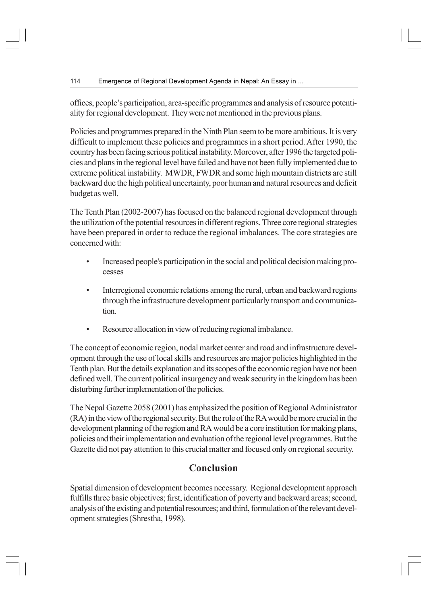offices, people's participation, area-specific programmes and analysis of resource potentiality for regional development. They were not mentioned in the previous plans.

Policies and programmes prepared in the Ninth Plan seem to be more ambitious. It is very difficult to implement these policies and programmes in a short period. After 1990, the country has been facing serious political instability. Moreover, after 1996 the targeted policies and plans in the regional level have failed and have not been fully implemented due to extreme political instability. MWDR, FWDR and some high mountain districts are still backward due the high political uncertainty, poor human and natural resources and deficit budget as well.

The Tenth Plan (2002-2007) has focused on the balanced regional development through the utilization of the potential resources in different regions. Three core regional strategies have been prepared in order to reduce the regional imbalances. The core strategies are concerned with:

- Increased people's participation in the social and political decision making processes
- Interregional economic relations among the rural, urban and backward regions through the infrastructure development particularly transport and communication.
- Resource allocation in view of reducing regional imbalance.

The concept of economic region, nodal market center and road and infrastructure development through the use of local skills and resources are major policies highlighted in the Tenth plan. But the details explanation and its scopes of the economic region have not been defined well. The current political insurgency and weak security in the kingdom has been disturbing further implementation of the policies.

The Nepal Gazette 2058 (2001) has emphasized the position of Regional Administrator (RA) in the view of the regional security. But the role of the RA would be more crucial in the development planning of the region and RA would be a core institution for making plans, policies and their implementation and evaluation of the regional level programmes. But the Gazette did not pay attention to this crucial matter and focused only on regional security.

## **Conclusion**

Spatial dimension of development becomes necessary. Regional development approach fulfills three basic objectives; first, identification of poverty and backward areas; second, analysis of the existing and potential resources; and third, formulation of the relevant development strategies (Shrestha, 1998).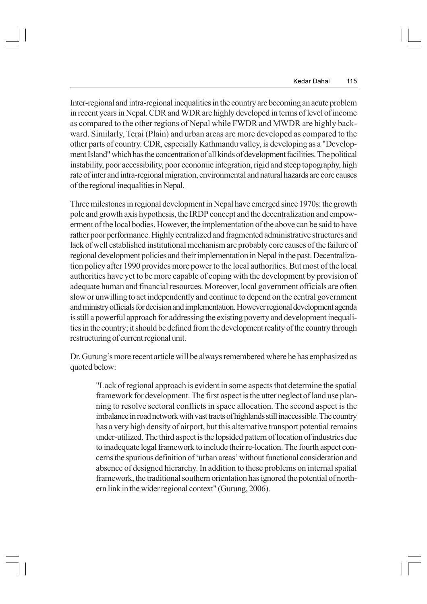Inter-regional and intra-regional inequalities in the country are becoming an acute problem in recent years in Nepal. CDR and WDR are highly developed in terms of level of income as compared to the other regions of Nepal while FWDR and MWDR are highly backward. Similarly, Terai (Plain) and urban areas are more developed as compared to the other parts of country. CDR, especially Kathmandu valley, is developing as a "Development Island" which has the concentration of all kinds of development facilities. The political instability, poor accessibility, poor economic integration, rigid and steep topography, high rate of inter and intra-regional migration, environmental and natural hazards are core causes of the regional inequalities in Nepal.

Three milestones in regional development in Nepal have emerged since 1970s: the growth pole and growth axis hypothesis, the IRDP concept and the decentralization and empowerment of the local bodies. However, the implementation of the above can be said to have rather poor performance. Highly centralized and fragmented administrative structures and lack of well established institutional mechanism are probably core causes of the failure of regional development policies and their implementation in Nepal in the past. Decentralization policy after 1990 provides more power to the local authorities. But most of the local authorities have yet to be more capable of coping with the development by provision of adequate human and financial resources. Moreover, local government officials are often slow or unwilling to act independently and continue to depend on the central government and ministry officials for decision and implementation. However regional development agenda is still a powerful approach for addressing the existing poverty and development inequalities in the country; it should be defined from the development reality of the country through restructuring of current regional unit.

Dr. Gurung's more recent article will be always remembered where he has emphasized as quoted below:

"Lack of regional approach is evident in some aspects that determine the spatial framework for development. The first aspect is the utter neglect of land use planning to resolve sectoral conflicts in space allocation. The second aspect is the imbalance in road network with vast tracts of highlands still inaccessible. The country has a very high density of airport, but this alternative transport potential remains under-utilized. The third aspect is the lopsided pattern of location of industries due to inadequate legal framework to include their re-location. The fourth aspect concerns the spurious definition of 'urban areas' without functional consideration and absence of designed hierarchy. In addition to these problems on internal spatial framework, the traditional southern orientation has ignored the potential of northern link in the wider regional context" (Gurung, 2006).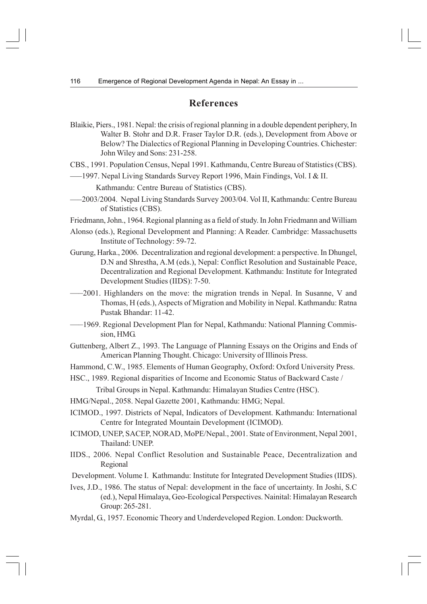#### **References**

Blaikie, Piers., 1981. Nepal: the crisis of regional planning in a double dependent periphery, In Walter B. Stohr and D.R. Fraser Taylor D.R. (eds.), Development from Above or Below? The Dialectics of Regional Planning in Developing Countries. Chichester: John Wiley and Sons: 231-258.

CBS., 1991. Population Census, Nepal 1991. Kathmandu, Centre Bureau of Statistics (CBS).

- —–1997. Nepal Living Standards Survey Report 1996, Main Findings, Vol. I & II. Kathmandu: Centre Bureau of Statistics (CBS).
- —–2003/2004. Nepal Living Standards Survey 2003/04. Vol II, Kathmandu: Centre Bureau of Statistics (CBS).
- Friedmann, John., 1964. Regional planning as a field of study. In John Friedmann and William
- Alonso (eds.), Regional Development and Planning: A Reader. Cambridge: Massachusetts Institute of Technology: 59-72.
- Gurung, Harka., 2006. Decentralization and regional development: a perspective. In Dhungel, D.N and Shrestha, A.M (eds.), Nepal: Conflict Resolution and Sustainable Peace, Decentralization and Regional Development. Kathmandu: Institute for Integrated Development Studies (IIDS): 7-50.
- —–2001. Highlanders on the move: the migration trends in Nepal. In Susanne, V and Thomas, H (eds.), Aspects of Migration and Mobility in Nepal. Kathmandu: Ratna Pustak Bhandar: 11-42.
- —–1969. Regional Development Plan for Nepal, Kathmandu: National Planning Commission, HMG.
- Guttenberg, Albert Z., 1993. The Language of Planning Essays on the Origins and Ends of American Planning Thought. Chicago: University of Illinois Press.
- Hammond, C.W., 1985. Elements of Human Geography, Oxford: Oxford University Press.
- HSC., 1989. Regional disparities of Income and Economic Status of Backward Caste /

Tribal Groups in Nepal. Kathmandu: Himalayan Studies Centre (HSC).

- HMG/Nepal., 2058. Nepal Gazette 2001, Kathmandu: HMG; Nepal.
- ICIMOD., 1997. Districts of Nepal, Indicators of Development. Kathmandu: International Centre for Integrated Mountain Development (ICIMOD).
- ICIMOD, UNEP, SACEP, NORAD, MoPE/Nepal., 2001. State of Environment, Nepal 2001, Thailand: UNEP.
- IIDS., 2006. Nepal Conflict Resolution and Sustainable Peace, Decentralization and Regional
- Development. Volume I. Kathmandu: Institute for Integrated Development Studies (IIDS).
- Ives, J.D., 1986. The status of Nepal: development in the face of uncertainty. In Joshi, S.C (ed.), Nepal Himalaya, Geo-Ecological Perspectives. Nainital: Himalayan Research Group: 265-281.
- Myrdal, G., 1957. Economic Theory and Underdeveloped Region. London: Duckworth.